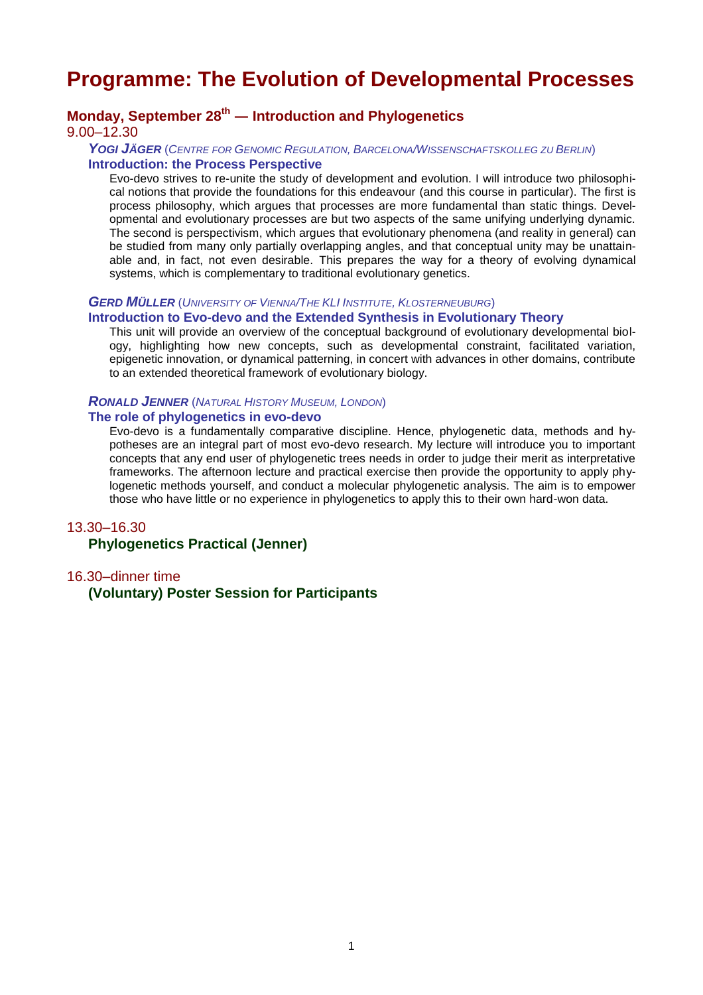# **Programme: The Evolution of Developmental Processes**

# **Monday, September 28 th ― Introduction and Phylogenetics**

9.00–12.30

## *YOGI JÄGER* (*CENTRE FOR GENOMIC REGULATION, BARCELONA/WISSENSCHAFTSKOLLEG ZU BERLIN*) **Introduction: the Process Perspective**

Evo-devo strives to re-unite the study of development and evolution. I will introduce two philosophical notions that provide the foundations for this endeavour (and this course in particular). The first is process philosophy, which argues that processes are more fundamental than static things. Developmental and evolutionary processes are but two aspects of the same unifying underlying dynamic. The second is perspectivism, which argues that evolutionary phenomena (and reality in general) can be studied from many only partially overlapping angles, and that conceptual unity may be unattainable and, in fact, not even desirable. This prepares the way for a theory of evolving dynamical systems, which is complementary to traditional evolutionary genetics.

#### *GERD MÜLLER* (*UNIVERSITY OF VIENNA/THE KLI INSTITUTE, KLOSTERNEUBURG*)

## **Introduction to Evo-devo and the Extended Synthesis in Evolutionary Theory**

This unit will provide an overview of the conceptual background of evolutionary developmental biology, highlighting how new concepts, such as developmental constraint, facilitated variation, epigenetic innovation, or dynamical patterning, in concert with advances in other domains, contribute to an extended theoretical framework of evolutionary biology.

#### *RONALD JENNER* (*NATURAL HISTORY MUSEUM, LONDON*)

## **The role of phylogenetics in evo-devo**

Evo-devo is a fundamentally comparative discipline. Hence, phylogenetic data, methods and hypotheses are an integral part of most evo-devo research. My lecture will introduce you to important concepts that any end user of phylogenetic trees needs in order to judge their merit as interpretative frameworks. The afternoon lecture and practical exercise then provide the opportunity to apply phylogenetic methods yourself, and conduct a molecular phylogenetic analysis. The aim is to empower those who have little or no experience in phylogenetics to apply this to their own hard-won data.

#### 13.30–16.30

# **Phylogenetics Practical (Jenner)**

# 16.30–dinner time **(Voluntary) Poster Session for Participants**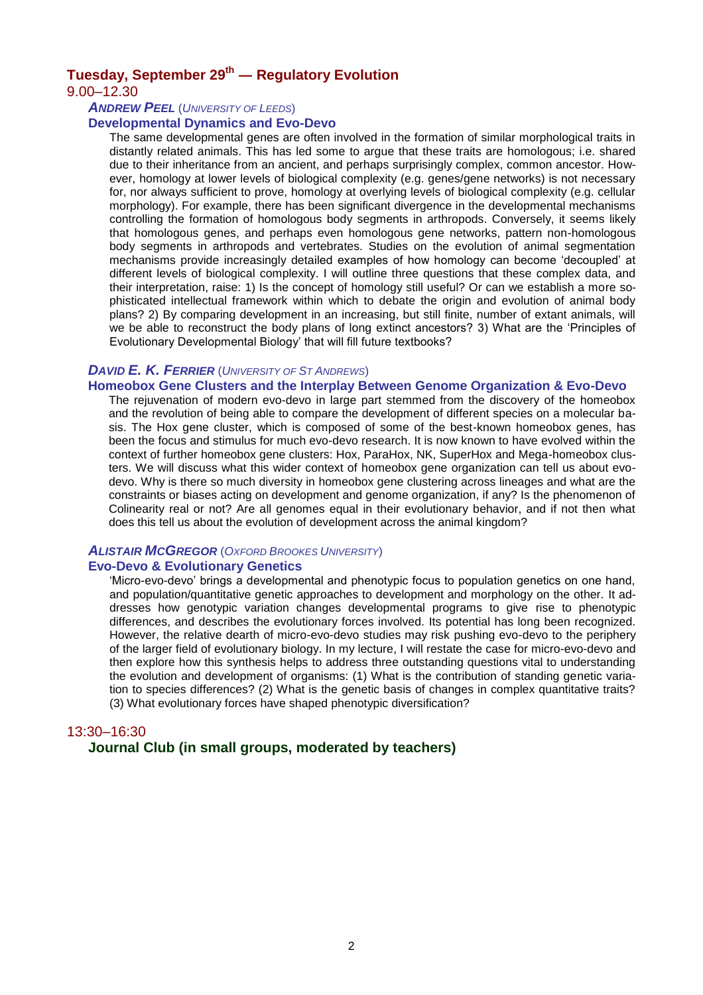# **Tuesday, September 29 th ― Regulatory Evolution**

### 9.00–12.30

#### *ANDREW PEEL* (*UNIVERSITY OF LEEDS*)

#### **Developmental Dynamics and Evo-Devo**

The same developmental genes are often involved in the formation of similar morphological traits in distantly related animals. This has led some to argue that these traits are homologous; i.e. shared due to their inheritance from an ancient, and perhaps surprisingly complex, common ancestor. However, homology at lower levels of biological complexity (e.g. genes/gene networks) is not necessary for, nor always sufficient to prove, homology at overlying levels of biological complexity (e.g. cellular morphology). For example, there has been significant divergence in the developmental mechanisms controlling the formation of homologous body segments in arthropods. Conversely, it seems likely that homologous genes, and perhaps even homologous gene networks, pattern non-homologous body segments in arthropods and vertebrates. Studies on the evolution of animal segmentation mechanisms provide increasingly detailed examples of how homology can become 'decoupled' at different levels of biological complexity. I will outline three questions that these complex data, and their interpretation, raise: 1) Is the concept of homology still useful? Or can we establish a more sophisticated intellectual framework within which to debate the origin and evolution of animal body plans? 2) By comparing development in an increasing, but still finite, number of extant animals, will we be able to reconstruct the body plans of long extinct ancestors? 3) What are the 'Principles of Evolutionary Developmental Biology' that will fill future textbooks?

# *DAVID E. K. FERRIER* (*UNIVERSITY OF ST ANDREWS*)

#### **Homeobox Gene Clusters and the Interplay Between Genome Organization & Evo-Devo**

The rejuvenation of modern evo-devo in large part stemmed from the discovery of the homeobox and the revolution of being able to compare the development of different species on a molecular basis. The Hox gene cluster, which is composed of some of the best-known homeobox genes, has been the focus and stimulus for much evo-devo research. It is now known to have evolved within the context of further homeobox gene clusters: Hox, ParaHox, NK, SuperHox and Mega-homeobox clusters. We will discuss what this wider context of homeobox gene organization can tell us about evodevo. Why is there so much diversity in homeobox gene clustering across lineages and what are the constraints or biases acting on development and genome organization, if any? Is the phenomenon of Colinearity real or not? Are all genomes equal in their evolutionary behavior, and if not then what does this tell us about the evolution of development across the animal kingdom?

# *ALISTAIR MCGREGOR* (*OXFORD BROOKES UNIVERSITY*)

## **Evo-Devo & Evolutionary Genetics**

'Micro-evo-devo' brings a developmental and phenotypic focus to population genetics on one hand, and population/quantitative genetic approaches to development and morphology on the other. It addresses how genotypic variation changes developmental programs to give rise to phenotypic differences, and describes the evolutionary forces involved. Its potential has long been recognized. However, the relative dearth of micro-evo-devo studies may risk pushing evo-devo to the periphery of the larger field of evolutionary biology. In my lecture, I will restate the case for micro-evo-devo and then explore how this synthesis helps to address three outstanding questions vital to understanding the evolution and development of organisms: (1) What is the contribution of standing genetic variation to species differences? (2) What is the genetic basis of changes in complex quantitative traits? (3) What evolutionary forces have shaped phenotypic diversification?

#### 13:30–16:30

## **Journal Club (in small groups, moderated by teachers)**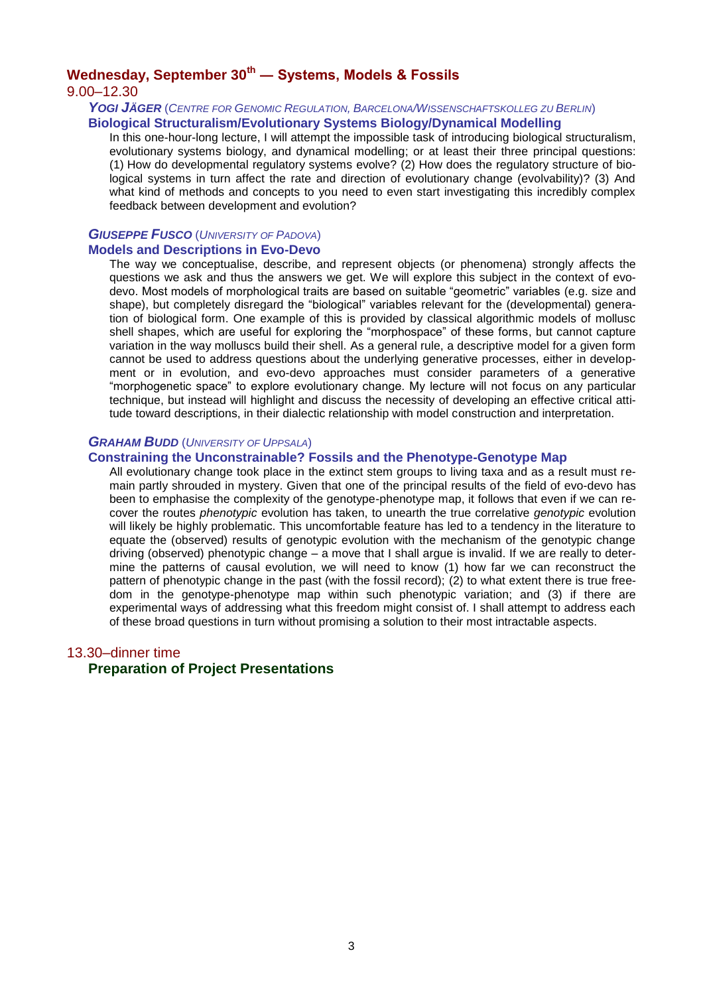# **Wednesday, September 30th ― Systems, Models & Fossils**

9.00–12.30

#### *YOGI JÄGER* (*CENTRE FOR GENOMIC REGULATION, BARCELONA/WISSENSCHAFTSKOLLEG ZU BERLIN*) **Biological Structuralism/Evolutionary Systems Biology/Dynamical Modelling**

In this one-hour-long lecture, I will attempt the impossible task of introducing biological structuralism, evolutionary systems biology, and dynamical modelling; or at least their three principal questions: (1) How do developmental regulatory systems evolve? (2) How does the regulatory structure of biological systems in turn affect the rate and direction of evolutionary change (evolvability)? (3) And what kind of methods and concepts to you need to even start investigating this incredibly complex feedback between development and evolution?

#### *GIUSEPPE FUSCO* (*UNIVERSITY OF PADOVA*) **Models and Descriptions in Evo-Devo**

The way we conceptualise, describe, and represent objects (or phenomena) strongly affects the questions we ask and thus the answers we get. We will explore this subject in the context of evodevo. Most models of morphological traits are based on suitable "geometric" variables (e.g. size and shape), but completely disregard the "biological" variables relevant for the (developmental) generation of biological form. One example of this is provided by classical algorithmic models of mollusc shell shapes, which are useful for exploring the "morphospace" of these forms, but cannot capture variation in the way molluscs build their shell. As a general rule, a descriptive model for a given form cannot be used to address questions about the underlying generative processes, either in development or in evolution, and evo-devo approaches must consider parameters of a generative "morphogenetic space" to explore evolutionary change. My lecture will not focus on any particular technique, but instead will highlight and discuss the necessity of developing an effective critical attitude toward descriptions, in their dialectic relationship with model construction and interpretation.

#### *GRAHAM BUDD* (*UNIVERSITY OF UPPSALA*)

### **Constraining the Unconstrainable? Fossils and the Phenotype-Genotype Map**

All evolutionary change took place in the extinct stem groups to living taxa and as a result must remain partly shrouded in mystery. Given that one of the principal results of the field of evo-devo has been to emphasise the complexity of the genotype-phenotype map, it follows that even if we can recover the routes *phenotypic* evolution has taken, to unearth the true correlative *genotypic* evolution will likely be highly problematic. This uncomfortable feature has led to a tendency in the literature to equate the (observed) results of genotypic evolution with the mechanism of the genotypic change driving (observed) phenotypic change – a move that I shall argue is invalid. If we are really to determine the patterns of causal evolution, we will need to know (1) how far we can reconstruct the pattern of phenotypic change in the past (with the fossil record); (2) to what extent there is true freedom in the genotype-phenotype map within such phenotypic variation; and (3) if there are experimental ways of addressing what this freedom might consist of. I shall attempt to address each of these broad questions in turn without promising a solution to their most intractable aspects.

#### 13.30–dinner time

# **Preparation of Project Presentations**